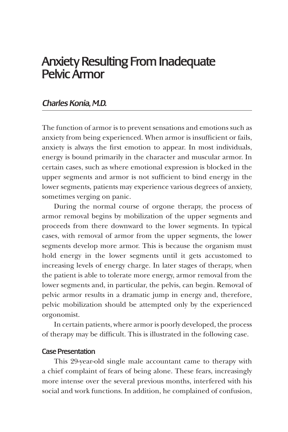# Anxiety Resulting From Inadequate Pelvic Armor

## *Charles Konia, M.D.*

The function of armor is to prevent sensations and emotions such as anxiety from being experienced. When armor is insufficient or fails, anxiety is always the first emotion to appear. In most individuals, energy is bound primarily in the character and muscular armor. In certain cases, such as where emotional expression is blocked in the upper segments and armor is not sufficient to bind energy in the lower segments, patients may experience various degrees of anxiety, sometimes verging on panic.

During the normal course of orgone therapy, the process of armor removal begins by mobilization of the upper segments and proceeds from there downward to the lower segments. In typical cases, with removal of armor from the upper segments, the lower segments develop more armor. This is because the organism must hold energy in the lower segments until it gets accustomed to increasing levels of energy charge. In later stages of therapy, when the patient is able to tolerate more energy, armor removal from the lower segments and, in particular, the pelvis, can begin. Removal of pelvic armor results in a dramatic jump in energy and, therefore, pelvic mobilization should be attempted only by the experienced orgonomist.

In certain patients, where armor is poorly developed, the process of therapy may be difficult. This is illustrated in the following case.

#### Case Presentation

This 29-year-old single male accountant came to therapy with a chief complaint of fears of being alone. These fears, increasingly more intense over the several previous months, interfered with his social and work functions. In addition, he complained of confusion,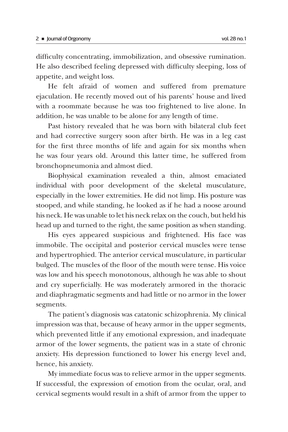difficulty concentrating, immobilization, and obsessive rumination. He also described feeling depressed with difficulty sleeping, loss of appetite, and weight loss.

He felt afraid of women and suffered from premature ejaculation. He recently moved out of his parents' house and lived with a roommate because he was too frightened to live alone. In addition, he was unable to be alone for any length of time.

Past history revealed that he was born with bilateral club feet and had corrective surgery soon after birth. He was in a leg cast for the first three months of life and again for six months when he was four years old. Around this latter time, he suffered from bronchopneumonia and almost died.

Biophysical examination revealed a thin, almost emaciated individual with poor development of the skeletal musculature, especially in the lower extremities. He did not limp. His posture was stooped, and while standing, he looked as if he had a noose around his neck. He was unable to let his neck relax on the couch, but held his head up and turned to the right, the same position as when standing.

His eyes appeared suspicious and frightened. His face was immobile. The occipital and posterior cervical muscles were tense and hypertrophied. The anterior cervical musculature, in particular bulged. The muscles of the floor of the mouth were tense. His voice was low and his speech monotonous, although he was able to shout and cry superficially. He was moderately armored in the thoracic and diaphragmatic segments and had little or no armor in the lower segments.

The patient's diagnosis was catatonic schizophrenia. My clinical impression was that, because of heavy armor in the upper segments, which prevented little if any emotional expression, and inadequate armor of the lower segments, the patient was in a state of chronic anxiety. His depression functioned to lower his energy level and, hence, his anxiety.

My immediate focus was to relieve armor in the upper segments. If successful, the expression of emotion from the ocular, oral, and cervical segments would result in a shift of armor from the upper to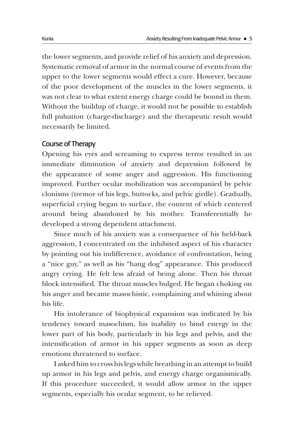the lower segments, and provide relief of his anxiety and depression. Systematic removal of armor in the normal course of events from the upper to the lower segments would effect a cure. However, because of the poor development of the muscles in the lower segments, it was not clear to what extent energy charge could be bound in them. Without the buildup of charge, it would not be possible to establish full pulsation (charge-discharge) and the therapeutic result would necessarily be limited.

#### Course of Therapy

Opening his eyes and screaming to express terror resulted in an immediate diminution of anxiety and depression followed by the appearance of some anger and aggression. His functioning improved. Further ocular mobilization was accompanied by pelvic clonisms (tremor of his legs, buttocks, and pelvic girdle). Gradually, superficial crying began to surface, the content of which centered around being abandoned by his mother. Transferentially he developed a strong dependent attachment.

Since much of his anxiety was a consequence of his held-back aggression, I concentrated on the inhibited aspect of his character by pointing out his indifference, avoidance of confrontation, being a "nice guy," as well as his "hang dog" appearance. This produced angry crying. He felt less afraid of being alone. Then his throat block intensified. The throat muscles bulged. He began choking on his anger and became masochistic, complaining and whining about his life.

His intolerance of biophysical expansion was indicated by his tendency toward masochism, his inability to bind energy in the lower part of his body, particularly in his legs and pelvis, and the intensification of armor in his upper segments as soon as deep emotions threatened to surface.

I asked him to cross his legs while breathing in an attempt to build up armor in his legs and pelvis, and energy charge organismically. If this procedure succeeded, it would allow armor in the upper segments, especially his ocular segment, to be relieved.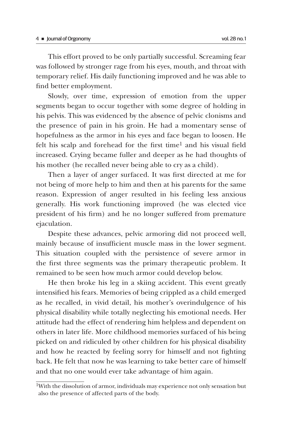This effort proved to be only partially successful. Screaming fear was followed by stronger rage from his eyes, mouth, and throat with temporary relief. His daily functioning improved and he was able to find better employment.

Slowly, over time, expression of emotion from the upper segments began to occur together with some degree of holding in his pelvis. This was evidenced by the absence of pelvic clonisms and the presence of pain in his groin. He had a momentary sense of hopefulness as the armor in his eyes and face began to loosen. He felt his scalp and forehead for the first time<sup>1</sup> and his visual field increased. Crying became fuller and deeper as he had thoughts of his mother (he recalled never being able to cry as a child).

Then a layer of anger surfaced. It was first directed at me for not being of more help to him and then at his parents for the same reason. Expression of anger resulted in his feeling less anxious generally. His work functioning improved (he was elected vice president of his firm) and he no longer suffered from premature ejaculation.

Despite these advances, pelvic armoring did not proceed well, mainly because of insufficient muscle mass in the lower segment. This situation coupled with the persistence of severe armor in the first three segments was the primary therapeutic problem. It remained to be seen how much armor could develop below.

He then broke his leg in a skiing accident. This event greatly intensified his fears. Memories of being crippled as a child emerged as he recalled, in vivid detail, his mother's overindulgence of his physical disability while totally neglecting his emotional needs. Her attitude had the effect of rendering him helpless and dependent on others in later life. More childhood memories surfaced of his being picked on and ridiculed by other children for his physical disability and how he reacted by feeling sorry for himself and not fighting back. He felt that now he was learning to take better care of himself and that no one would ever take advantage of him again.

<sup>1</sup>With the dissolution of armor, individuals may experience not only sensation but also the presence of affected parts of the body.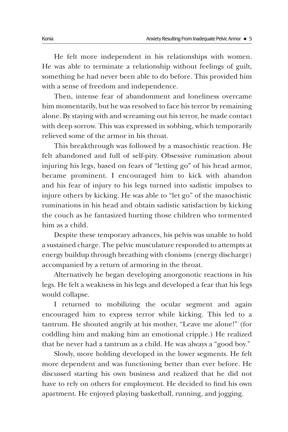He felt more independent in his relationships with women. He was able to terminate a relationship without feelings of guilt, something he had never been able to do before. This provided him with a sense of freedom and independence.

Then, intense fear of abandonment and loneliness overcame him momentarily, but he was resolved to face his terror by remaining alone. By staying with and screaming out his terror, he made contact with deep sorrow. This was expressed in sobbing, which temporarily relieved some of the armor in his throat.

This breakthrough was followed by a masochistic reaction. He felt abandoned and full of self-pity. Obsessive rumination about injuring his legs, based on fears of "letting go" of his head armor, became prominent. I encouraged him to kick with abandon and his fear of injury to his legs turned into sadistic impulses to injure others by kicking. He was able to "let go" of the masochistic ruminations in his head and obtain sadistic satisfaction by kicking the couch as he fantasized hurting those children who tormented him as a child.

Despite these temporary advances, his pelvis was unable to hold a sustained charge. The pelvic musculature responded to attempts at energy buildup through breathing with clonisms (energy discharge) accompanied by a return of armoring in the throat.

Alternatively he began developing anorgonotic reactions in his legs. He felt a weakness in his legs and developed a fear that his legs would collapse.

I returned to mobilizing the ocular segment and again encouraged him to express terror while kicking. This led to a tantrum. He shouted angrily at his mother, "Leave me alone!" (for coddling him and making him an emotional cripple.) He realized that he never had a tantrum as a child. He was always a "good boy."

Slowly, more holding developed in the lower segments. He felt more dependent and was functioning better than ever before. He discussed starting his own business and realized that he did not have to rely on others for employment. He decided to find his own apartment. He enjoyed playing basketball, running, and jogging.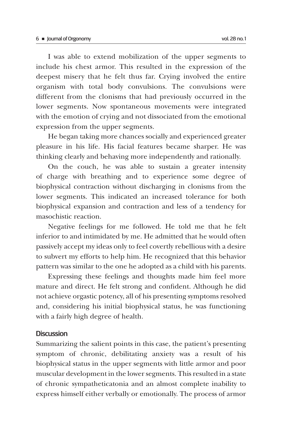I was able to extend mobilization of the upper segments to include his chest armor. This resulted in the expression of the deepest misery that he felt thus far. Crying involved the entire organism with total body convulsions. The convulsions were different from the clonisms that had previously occurred in the lower segments. Now spontaneous movements were integrated with the emotion of crying and not dissociated from the emotional expression from the upper segments.

He began taking more chances socially and experienced greater pleasure in his life. His facial features became sharper. He was thinking clearly and behaving more independently and rationally.

On the couch, he was able to sustain a greater intensity of charge with breathing and to experience some degree of biophysical contraction without discharging in clonisms from the lower segments. This indicated an increased tolerance for both biophysical expansion and contraction and less of a tendency for masochistic reaction.

Negative feelings for me followed. He told me that he felt inferior to and intimidated by me. He admitted that he would often passively accept my ideas only to feel covertly rebellious with a desire to subvert my efforts to help him. He recognized that this behavior pattern was similar to the one he adopted as a child with his parents.

Expressing these feelings and thoughts made him feel more mature and direct. He felt strong and confident. Although he did not achieve orgastic potency, all of his presenting symptoms resolved and, considering his initial biophysical status, he was functioning with a fairly high degree of health.

### **Discussion**

Summarizing the salient points in this case, the patient's presenting symptom of chronic, debilitating anxiety was a result of his biophysical status in the upper segments with little armor and poor muscular development in the lower segments. This resulted in a state of chronic sympatheticatonia and an almost complete inability to express himself either verbally or emotionally. The process of armor